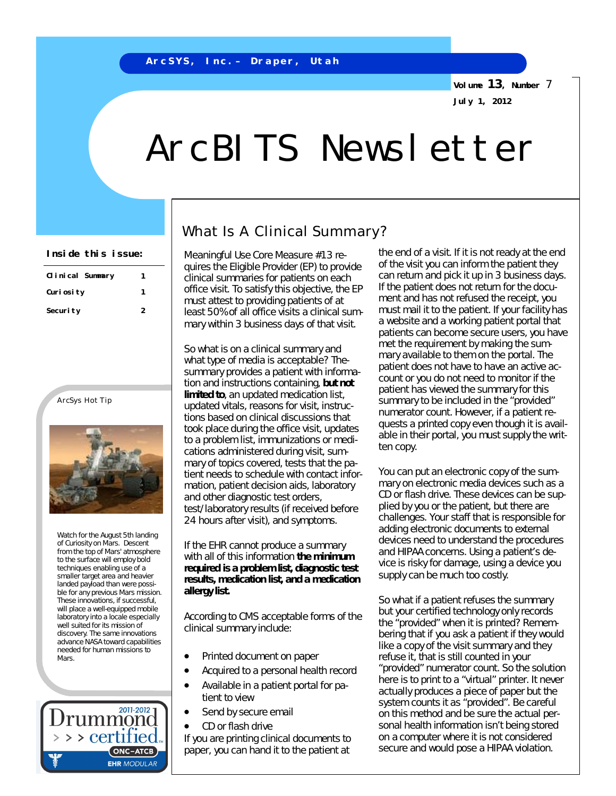**Volume 13, Number** 7 **July 1, 2012**

# ArcBITS Newsletter

| Clinical Summary | 1 |
|------------------|---|
| Curi osi ty      |   |
| Securi ty        | 2 |

### ArcSys Hot Tip



Watch for the August 5th landing of Curiosity on Mars. Descent from the top of Mars' atmosphere to the surface will employ bold techniques enabling use of a smaller target area and heavier landed payload than were possible for any previous Mars mission. These innovations, if successful, will place a well-equipped mobile laboratory into a locale especially well suited for its mission of discovery. The same innovations advance NASA toward capabilities needed for human missions to Mars.



## What Is A Clinical Summary?

Meaningful Use Core Measure #13 requires the Eligible Provider (EP) to provide clinical summaries for patients on each office visit. To satisfy this objective, the EP must attest to providing patients of at least 50% of all office visits a clinical summary within 3 *business* days of that visit.

So what is on a clinical summary and what type of media is acceptable? Thesummary provides a patient with information and instructions containing, *but not limited to*, an updated medication list, updated vitals, reasons for visit, instructions based on clinical discussions that took place during the office visit, updates to a problem list, immunizations or medications administered during visit, summary of topics covered, tests that the patient needs to schedule with contact information, patient decision aids, laboratory and other diagnostic test orders, test/laboratory results (if received before 24 hours after visit), and symptoms.

If the EHR cannot produce a summary with all of this information *the minimum required is a problem list, diagnostic test results, medication list, and a medication allergy list.*

According to CMS acceptable forms of the clinical summary include:

- Printed document on paper
- Acquired to a personal health record Available in a patient portal for pa-
- tient to view
- Send by secure email
- CD or flash drive

If you are printing clinical documents to paper, you can hand it to the patient at

**Inside this issue:** Meaningful Use Core Measure #13 rectional state of a visit. If it is not ready at the end of the visit you can inform the patient they can return and pick it up in 3 *business* days. If the patient does not return for the document and has not refused the receipt, you must mail it to the patient. If your facility has a website and a working patient portal that patients can become secure users, you have met the requirement by making the summary available to them on the portal. The patient does not have to have an active account or you do not need to monitor if the patient has viewed the summary for this summary to be included in the "provided" numerator count. However, if a patient requests a printed copy even though it is available in their portal, you must supply the written copy.

> You can put an electronic copy of the summary on electronic media devices such as a CD or flash drive. These devices can be supplied by you or the patient, but there are challenges. Your staff that is responsible for adding electronic documents to external devices need to understand the procedures and HIPAA concerns. Using a patient's device is risky for damage, using a device you supply can be much too costly.

> So what if a patient refuses the summary but your certified technology only records the "provided" when it is printed? Remembering that if you ask a patient if they would like a copy of the visit summary and they refuse it, that is still counted in your "provided" numerator count. So the solution here is to print to a "virtual" printer. It never actually produces a piece of paper but the system counts it as "provided". Be careful on this method and be sure the actual personal health information isn't being stored on a computer where it is not considered secure and would pose a HIPAA violation.